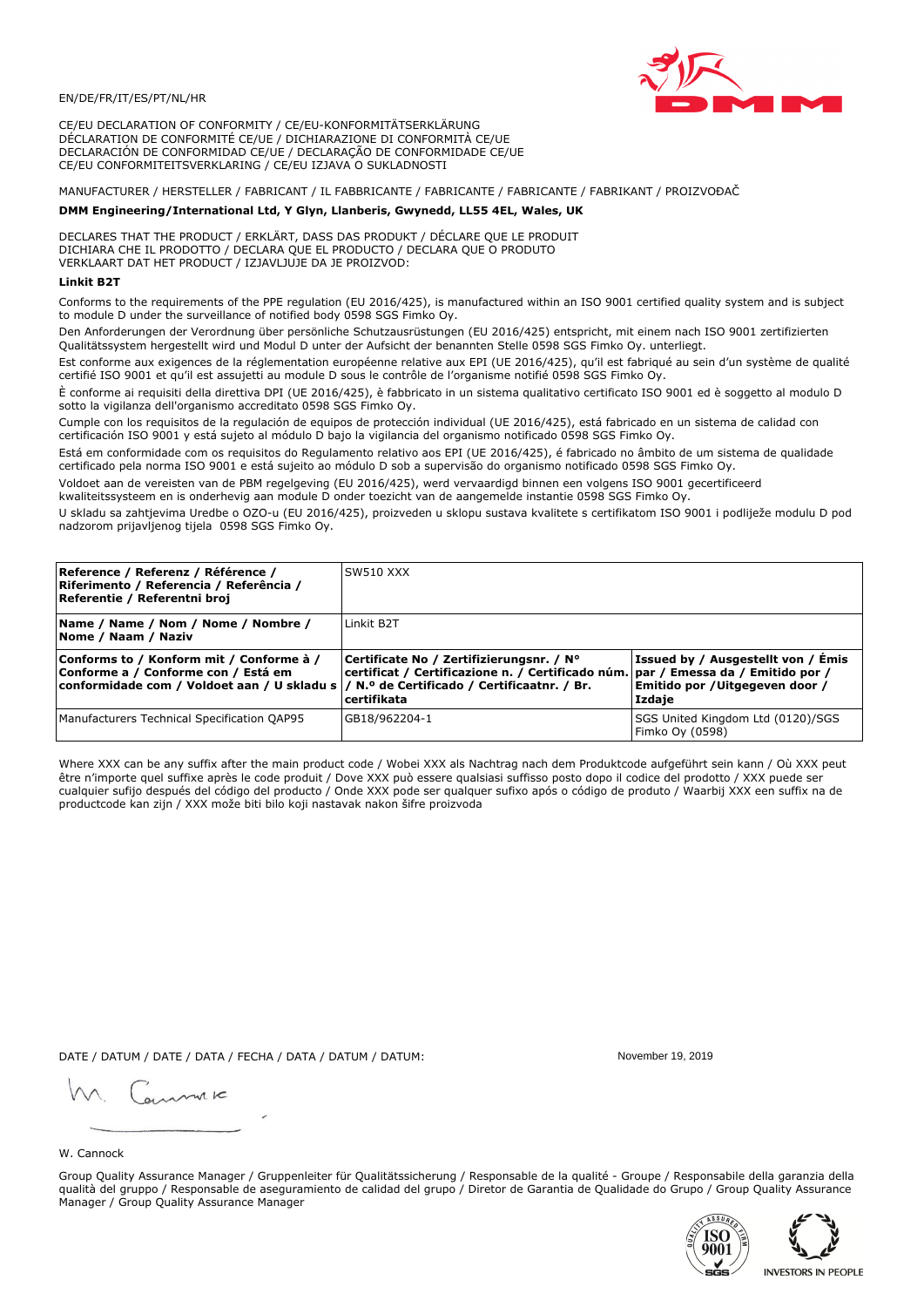

CE/EU DECLARATION OF CONFORMITY / CE/EU-KONFORMITÄTSERKLÄRUNG DÉCLARATION DE CONFORMITÉ CE/UE / DICHIARAZIONE DI CONFORMITÀ CE/UE DECLARACIÓN DE CONFORMIDAD CE/UE / DECLARAÇÃO DE CONFORMIDADE CE/UE CE/EU CONFORMITEITSVERKLARING / CE/EU IZJAVA O SUKLADNOSTI

# MANUFACTURER / HERSTELLER / FABRICANT / IL FABBRICANTE / FABRICANTE / FABRICANTE / FABRIKANT / PROIZVOĐAČ

## DMM Engineering/International Ltd, Y Glyn, Llanberis, Gwynedd, LL55 4EL, Wales, UK

DECLARES THAT THE PRODUCT / ERKLÄRT, DASS DAS PRODUKT / DÉCLARE QUE LE PRODUIT<br>DICHIARA CHE IL PRODOTTO / DECLARA QUE EL PRODUCTO / DECLARA QUE O PRODUTO VERKLAART DAT HET PRODUCT / IZJAVLJUJE DA JE PROIZVOD:

## **Linkit B2T**

Conforms to the requirements of the PPE regulation (EU 2016/425), is manufactured within an ISO 9001 certified quality system and is subject to module D under the surveillance of notified body 0598 SGS Fimko Oy.

Den Anforderungen der Verordnung über persönliche Schutzausrüstungen (EU 2016/425) entspricht, mit einem nach ISO 9001 zertifizierten Qualitätssystem hergestellt wird und Modul D unter der Aufsicht der benannten Stelle 0598 SGS Fimko Oy. unterliegt.

Est conforme aux exigences de la réglementation européenne relative aux EPI (UE 2016/425), qu'il est fabriqué au sein d'un système de qualité certifié ISO 9001 et qu'il est assujetti au module D sous le contrôle de l'organisme notifié 0598 SGS Fimko Oy.

È conforme ai requisiti della direttiva DPI (UE 2016/425), è fabbricato in un sistema qualitativo certificato ISO 9001 ed è soggetto al modulo D sotto la vigilanza dell'organismo accreditato 0598 SGS Fimko Oy.

Cumple con los requisitos de la regulación de equipos de protección individual (UE 2016/425), está fabricado en un sistema de calidad con certificación ISO 9001 y está sujeto al módulo D bajo la vigilancia del organismo notificado 0598 SGS Fimko Oy.

Está em conformidade com os requisitos do Regulamento relativo aos EPI (UE 2016/425), é fabricado no âmbito de um sistema de qualidade certificado pela norma ISO 9001 e está sujeito ao módulo D sob a supervisão do organismo notificado 0598 SGS Fimko Oy.

Voldoet aan de vereisten van de PBM regelgeving (EU 2016/425), werd vervaardigd binnen een volgens ISO 9001 gecertificeerd kwaliteitssysteem en is onderhevig aan module D onder toezicht van de aangemelde instantie 0598 SGS Fimko Oy.

U skladu sa zahtjevima Uredbe o OZO-u (EU 2016/425), proizveden u sklopu sustava kvalitete s certifikatom ISO 9001 i podliježe modulu D pod nadzorom prijavljenog tijela 0598 SGS Fimko Oy.

| Reference / Referenz / Référence /<br>Riferimento / Referencia / Referência /<br>Referentie / Referentni broj                                                              | SW510 XXX                                                                                                                                        |                                                                                 |
|----------------------------------------------------------------------------------------------------------------------------------------------------------------------------|--------------------------------------------------------------------------------------------------------------------------------------------------|---------------------------------------------------------------------------------|
| Name / Name / Nom / Nome / Nombre /<br>Nome / Naam / Naziv                                                                                                                 | Linkit B <sub>2</sub> T                                                                                                                          |                                                                                 |
| Conforms to / Konform mit / Conforme à /<br>Conforme a / Conforme con / Está em<br>conformidade com / Voldoet aan / U skladu s / N.º de Certificado / Certificaatnr. / Br. | Certificate No / Zertifizierungsnr. / N°<br>  certificat / Certificazione n. / Certificado núm.   par / Emessa da / Emitido por /<br>certifikata | Issued by / Ausgestellt von / Emis<br>Emitido por / Uitgegeven door /<br>Izdaie |
| Manufacturers Technical Specification QAP95                                                                                                                                | GB18/962204-1                                                                                                                                    | SGS United Kingdom Ltd (0120)/SGS<br>Fimko Oy (0598)                            |

Where XXX can be any suffix after the main product code / Wobei XXX als Nachtrag nach dem Produktcode aufgeführt sein kann / Où XXX peut être n'importe quel suffixe après le code produit / Dove XXX può essere qualsiasi suffisso posto dopo il codice del prodotto / XXX puede ser cualquier sufijo después del código del producto / Onde XXX pode ser qualquer sufixo após o código de produto / Waarbij XXX een suffix na de productcode kan zijn / XXX može biti bilo koji nastavak nakon šifre proizvoda

DATE / DATUM / DATE / DATA / FECHA / DATA / DATUM / DATUM:

gimmic

November 19 2019



Group Quality Assurance Manager / Gruppenleiter für Qualitätssicherung / Responsable de la qualité - Groupe / Responsabile della garanzia della qualità del gruppo / Responsable de aseguramiento de calidad del grupo / Diretor de Garantia de Qualidade do Grupo / Group Quality Assurance Manager / Group Quality Assurance Manager



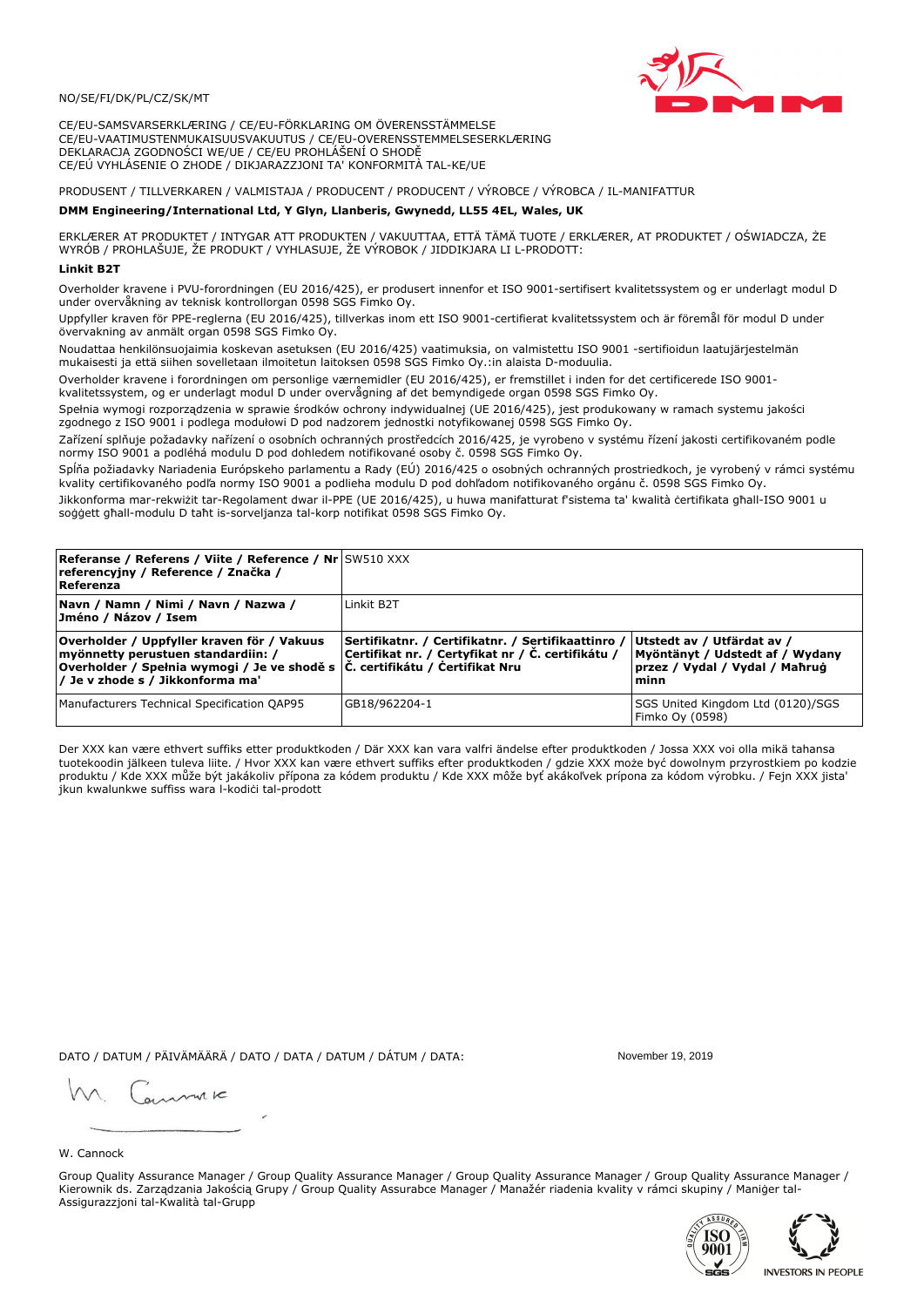## NO/SE/FI/DK/PL/CZ/SK/MT

CE/EU-SAMSVARSERKLÆRING / CE/EU-FÖRKLARING OM ÖVERENSSTÄMMELSE CE/EU-VAATIMUSTENMUKAISUUSVAKUUTUS / CE/EU-OVERENSSTEMMELSESERKLÆRING DEKLARACJA ZGODNOŚCI WE/UE / CE/EU PROHLÁŠENÍ O SHODĚ CE/EÚ VYHLÁSENIE O ZHODE / DIKJARAZZJONI TA' KONFORMITÀ TAL-KE/UE

## PRODUSENT / TILLVERKAREN / VALMISTAJA / PRODUCENT / PRODUCENT / VÝROBCE / VÝROBCA / IL-MANIFATTUR

### DMM Engineering/International Ltd, Y Glyn, Llanberis, Gwynedd, LL55 4EL, Wales, UK

ERKLÆRER AT PRODUKTET / INTYGAR ATT PRODUKTEN / VAKUUTTAA, ETTÄ TÄMÄ TUOTE / ERKLÆRER, AT PRODUKTET / OŚWIADCZA, ŻE<br>WYRÓB / PROHLAŠUJE, ŽE PRODUKT / VYHLASUJE, ŽE VÝROBOK / JIDDIKJARA LI L-PRODOTT:

Overholder kravene i PVU-forordningen (EU 2016/425), er produsert innenfor et ISO 9001-sertifisert kvalitetssystem og er underlagt modul D under overvåkning av teknisk kontrollorgan 0598 SGS Fimko Oy.

Uppfyller kraven för PPE-reglerna (EU 2016/425), tillverkas inom ett ISO 9001-certifierat kvalitetssystem och är föremål för modul D under övervakning av anmält organ 0598 SGS Fimko Oy.

Noudattaa henkilönsuojaimia koskevan asetuksen (EU 2016/425) vaatimuksia, on valmistettu ISO 9001 -sertifioidun laatujärjestelmän mukaisesti ja että siihen sovelletaan ilmoitetun laitoksen 0598 SGS Fimko Oy.:in alaista D-moduulia.

Overholder kravene i forordningen om personlige værnemidler (EU 2016/425), er fremstillet i inden for det certificerede ISO 9001kvalitetssystem, og er underlagt modul D under overvågning af det bemyndigede organ 0598 SGS Fimko Oy.

Spełnia wymogi rozporządzenia w sprawie środków ochrony indywidualnej (UE 2016/425), jest produkowany w ramach systemu jakości zgodnego z ISO 9001 i podlega modułowi D pod nadzorem jednostki notyfikowanej 0598 SGS Fimko Oy.

Zařízení splňuje požadavky nařízení o osobních ochranných prostředcích 2016/425, je vyrobeno v systému řízení jakosti certifikovaném podle normy ISO 9001 a podléhá modulu D pod dohledem notifikované osoby č. 0598 SGS Fimko Oy.

Spĺňa požiadavky Nariadenia Európskeho parlamentu a Rady (EÚ) 2016/425 o osobných ochranných prostriedkoch, je vyrobený v rámci systému kvality certifikovaného podľa normy ISO 9001 a podlieha modulu D pod dohľadom notifikovaného orgánu č. 0598 SGS Fimko Oy.

Jikkonforma mar-rekwiżit tar-Regolament dwar il-PPE (UE 2016/425), u huwa manifatturat f'sistema ta' kwalità certifikata għall-ISO 9001 u soggett għall-modulu D taħt is-sorveljanza tal-korp notifikat 0598 SGS Fimko Oy.

| Referanse / Referens / Viite / Reference / Nr SW510 XXX<br>referencyjny / Reference / Značka /<br>Referenza                                                                                                      |                                                                                                         |                                                                                                         |
|------------------------------------------------------------------------------------------------------------------------------------------------------------------------------------------------------------------|---------------------------------------------------------------------------------------------------------|---------------------------------------------------------------------------------------------------------|
| Navn / Namn / Nimi / Navn / Nazwa /<br> Jméno / Názov / Isem                                                                                                                                                     | Linkit B <sub>2</sub> T                                                                                 |                                                                                                         |
| Overholder / Uppfyller kraven för / Vakuus<br>myönnetty perustuen standardiin: /<br>Overholder / Spełnia wymogi / Je ve shodě s $ \tilde{C} $ . certifikátu / Certifikat Nru<br>/ Je v zhode s / Jikkonforma ma' | Sertifikatnr. / Certifikatnr. / Sertifikaattinro /<br>Certifikat nr. / Certyfikat nr / Č. certifikátu / | Utstedt av / Utfärdat av /<br>Myöntänyt / Udstedt af / Wydany<br>przez / Vydal / Vydal / Maħruġ<br>minn |
| Manufacturers Technical Specification QAP95                                                                                                                                                                      | GB18/962204-1                                                                                           | SGS United Kingdom Ltd (0120)/SGS<br>Fimko Oy (0598)                                                    |

Der XXX kan være ethvert suffiks etter produktkoden / Där XXX kan vara valfri ändelse efter produktkoden / Jossa XXX voi olla mikä tahansa tuotekoodin jälkeen tuleva liite. / Hvor XXX kan være ethvert suffiks efter produktkoden / gdzie XXX może być dowolnym przyrostkiem po kodzie produktu / Kde XXX může být jakákoliv přípona za kódem produktu / Kde XXX môže byť akákolyek prípona za kódom výrobku. / Fejn XXX jista ikun kwalunkwe suffiss wara l-kodići tal-prodott

DATO / DATUM / PÄIVÄMÄÄRÄ / DATO / DATA / DATUM / DÁTUM / DATA:

November 19 2019

annuic

W. Cannock

Group Quality Assurance Manager / Group Quality Assurance Manager / Group Quality Assurance Manager / Group Quality Assurance Manager / Kierownik ds. Zarządzania Jakością Grupy / Group Quality Assurabce Manager / Manažér riadenia kvality v rámci skupiny / Maniger tal-Assigurazzjoni tal-Kwalità tal-Grupp